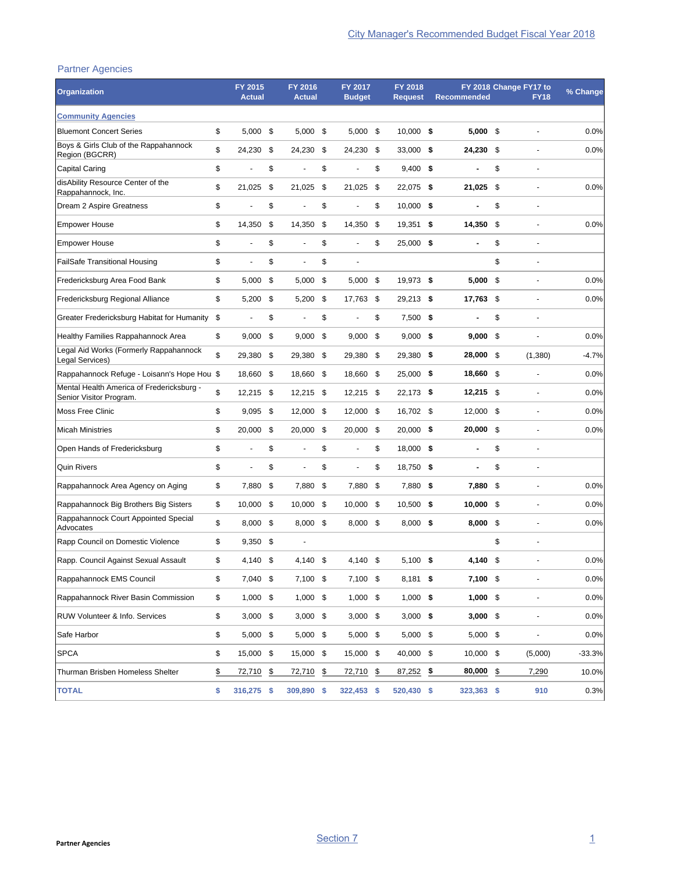## Partner Agencies

| <b>Organization</b>                                                  | FY 2015<br><b>Actual</b> |     | FY 2016<br><b>Actual</b> |      | FY 2017<br><b>Budget</b> |      | FY 2018<br><b>Request</b> | <b>Recommended</b> | FY 2018 Change FY17 to<br><b>FY18</b> | % Change |
|----------------------------------------------------------------------|--------------------------|-----|--------------------------|------|--------------------------|------|---------------------------|--------------------|---------------------------------------|----------|
| <b>Community Agencies</b>                                            |                          |     |                          |      |                          |      |                           |                    |                                       |          |
| <b>Bluemont Concert Series</b>                                       | \$<br>5,000              | \$  | $5,000$ \$               |      | $5,000$ \$               |      | $10,000$ \$               | $5,000$ \$         |                                       | 0.0%     |
| Boys & Girls Club of the Rappahannock<br>Region (BGCRR)              | \$<br>24,230             | \$  | 24,230 \$                |      | 24,230                   | - \$ | 33,000 \$                 | 24,230 \$          |                                       | 0.0%     |
| <b>Capital Caring</b>                                                | \$                       | \$  |                          | \$   |                          | \$   | $9,400$ \$                |                    | \$<br>ä,                              |          |
| disAbility Resource Center of the<br>Rappahannock, Inc.              | \$<br>21,025             | \$  | 21,025                   | \$   | 21,025                   | -\$  | 22,075 \$                 | 21,025             | \$<br>L,                              | 0.0%     |
| Dream 2 Aspire Greatness                                             | \$                       | \$  |                          | \$   |                          | \$   | $10,000$ \$               |                    | \$<br>٠                               |          |
| <b>Empower House</b>                                                 | \$<br>14,350             | \$  | 14,350                   | \$   | 14,350                   | \$   | 19,351                    | \$<br>14,350       | \$                                    | 0.0%     |
| <b>Empower House</b>                                                 | \$<br>ä,                 | \$  |                          | \$   |                          | \$   | 25,000 \$                 |                    | \$                                    |          |
| <b>FailSafe Transitional Housing</b>                                 | \$<br>÷,                 | \$  |                          | \$   | ä,                       |      |                           |                    | \$<br>ä,                              |          |
| Fredericksburg Area Food Bank                                        | \$<br>5,000              | \$  | 5,000                    | \$   | 5,000                    | \$   | 19,973 \$                 | $5,000$ \$         | ÷                                     | 0.0%     |
| Fredericksburg Regional Alliance                                     | \$<br>5,200              | \$  | $5,200$ \$               |      | 17,763 \$                |      | $29,213$ \$               | 17,763 \$          | ä,                                    | 0.0%     |
| Greater Fredericksburg Habitat for Humanity \$                       | ÷,                       | \$  |                          | \$   |                          | \$   | $7,500$ \$                |                    | \$<br>ä,                              |          |
| Healthy Families Rappahannock Area                                   | \$<br>9,000              | \$  | 9,000                    | - \$ | $9,000$ \$               |      | $9,000$ \$                | 9,000              | \$                                    | 0.0%     |
| Legal Aid Works (Formerly Rappahannock<br>Legal Services)            | \$<br>29,380             | \$  | 29,380                   | \$   | 29,380                   | - \$ | 29,380 \$                 | 28,000 \$          | (1,380)                               | $-4.7%$  |
| Rappahannock Refuge - Loisann's Hope Hou \$                          | 18,660                   | \$  | 18,660 \$                |      | 18,660                   | - \$ | 25,000 \$                 | 18,660 \$          | Ĭ.                                    | 0.0%     |
| Mental Health America of Fredericksburg -<br>Senior Visitor Program. | \$<br>12,215             | -\$ | $12,215$ \$              |      | 12,215 \$                |      | 22,173 \$                 | $12,215$ \$        | L,                                    | 0.0%     |
| <b>Moss Free Clinic</b>                                              | \$<br>9,095              | -\$ | 12,000 \$                |      | 12,000 \$                |      | 16,702 \$                 | 12,000 \$          |                                       | 0.0%     |
| <b>Micah Ministries</b>                                              | \$<br>20,000             | \$  | 20,000 \$                |      | 20,000                   | - \$ | $20,000$ \$               | $20,000$ \$        | l,                                    | 0.0%     |
| Open Hands of Fredericksburg                                         | \$<br>ä,                 | \$  |                          | \$   |                          | \$   | 18,000 \$                 |                    | \$                                    |          |
| <b>Quin Rivers</b>                                                   | \$<br>÷,                 | \$  |                          | \$   | ٠                        | \$   | 18,750 \$                 |                    | \$<br>÷                               |          |
| Rappahannock Area Agency on Aging                                    | \$<br>7,880              | \$  | 7,880                    | \$   | 7,880                    | -\$  | 7,880 \$                  | 7,880 \$           | Ĭ.                                    | 0.0%     |
| Rappahannock Big Brothers Big Sisters                                | \$<br>10,000             | -\$ | 10,000 \$                |      | 10,000 \$                |      | $10,500$ \$               | $10,000$ \$        | Ĭ.                                    | 0.0%     |
| Rappahannock Court Appointed Special<br>Advocates                    | \$<br>8,000              | -\$ | 8,000 \$                 |      | $8,000$ \$               |      | $8,000$ \$                | $8,000$ \$         |                                       | 0.0%     |
| Rapp Council on Domestic Violence                                    | \$<br>9,350              | \$  |                          |      |                          |      |                           |                    | \$                                    |          |
| Rapp. Council Against Sexual Assault                                 | \$<br>4,140              | \$  | 4,140 \$                 |      | 4,140 \$                 |      | $5.100$ \$                | 4,140 \$           |                                       | 0.0%     |
| Rappahannock EMS Council                                             | \$<br>7,040 \$           |     | 7,100 \$                 |      | 7,100 \$                 |      | $8,181$ \$                | 7,100 \$           | $\frac{1}{2}$                         | 0.0%     |
| Rappahannock River Basin Commission                                  | \$<br>$1,000$ \$         |     | $1,000$ \$               |      | $1,000$ \$               |      | $1,000$ \$                | $1,000$ \$         |                                       | 0.0%     |
| RUW Volunteer & Info. Services                                       | \$<br>$3,000$ \$         |     | $3,000$ \$               |      | $3,000$ \$               |      | $3,000$ \$                | $3,000$ \$         | ٠                                     | 0.0%     |
| Safe Harbor                                                          | \$<br>5,000 \$           |     | $5,000$ \$               |      | $5,000$ \$               |      | $5,000$ \$                | $5,000$ \$         |                                       | 0.0%     |
| <b>SPCA</b>                                                          | \$<br>15,000 \$          |     | 15,000 \$                |      | 15,000 \$                |      | 40,000 \$                 | $10,000$ \$        | (5,000)                               | $-33.3%$ |
| Thurman Brisben Homeless Shelter                                     | \$<br>72,710             | \$  | 72,710 \$                |      | $72,710$ \$              |      | $87,252$ \$               | 80,000             | \$<br>7,290                           | 10.0%    |
| <b>TOTAL</b>                                                         | \$<br>316,275 \$         |     | 309,890 \$               |      | 322,453 \$               |      | 520,430 \$                | 323,363 \$         | 910                                   | 0.3%     |